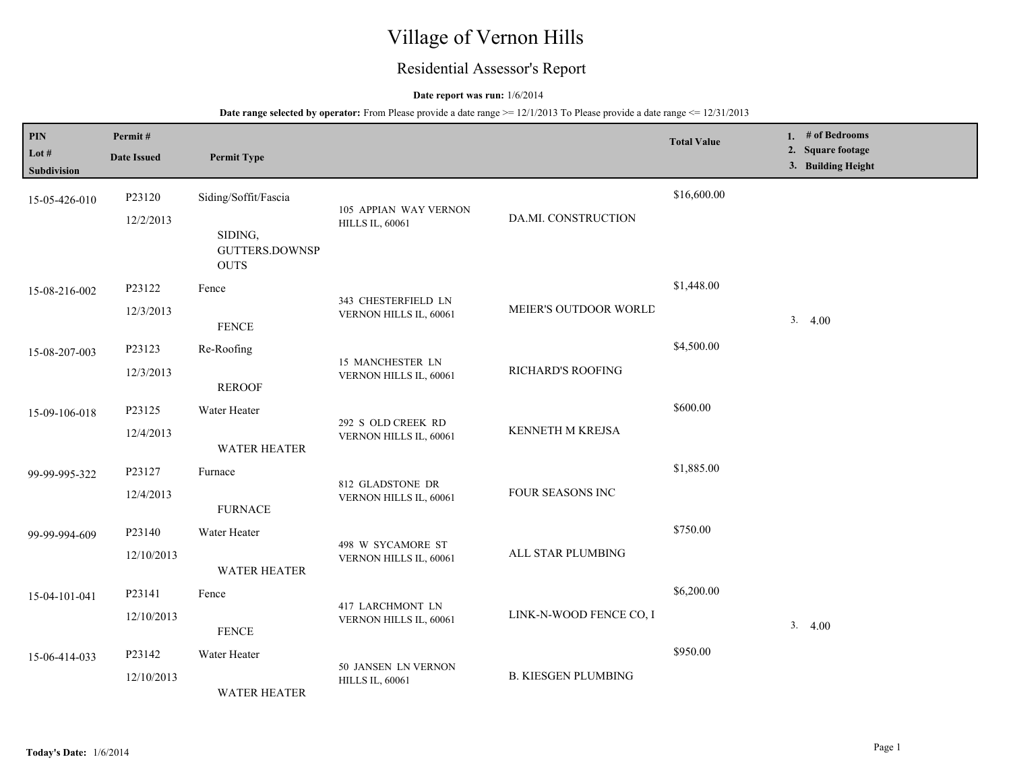# Village of Vernon Hills

# Residential Assessor's Report

### **Date report was run:** 1/6/2014

**Date range selected by operator:** From Please provide a date range >= 12/1/2013 To Please provide a date range <= 12/31/2013

| PIN<br>Lot #<br>Subdivision | Permit#<br><b>Date Issued</b> | <b>Permit Type</b>                                       |                                                 |                            | <b>Total Value</b> | 1. # of Bedrooms<br>2. Square footage<br>3. Building Height |
|-----------------------------|-------------------------------|----------------------------------------------------------|-------------------------------------------------|----------------------------|--------------------|-------------------------------------------------------------|
| 15-05-426-010               | P23120<br>12/2/2013           | Siding/Soffit/Fascia<br>SIDING,<br><b>GUTTERS.DOWNSP</b> | 105 APPIAN WAY VERNON<br><b>HILLS IL, 60061</b> | DA.MI. CONSTRUCTION        | \$16,600.00        |                                                             |
| 15-08-216-002               | P23122<br>12/3/2013           | <b>OUTS</b><br>Fence<br><b>FENCE</b>                     | 343 CHESTERFIELD LN<br>VERNON HILLS IL, 60061   | MEIER'S OUTDOOR WORLD      | \$1,448.00         | 3.4.00                                                      |
| 15-08-207-003               | P23123<br>12/3/2013           | Re-Roofing<br><b>REROOF</b>                              | 15 MANCHESTER LN<br>VERNON HILLS IL, 60061      | RICHARD'S ROOFING          | \$4,500.00         |                                                             |
| 15-09-106-018               | P23125<br>12/4/2013           | Water Heater<br><b>WATER HEATER</b>                      | 292 S OLD CREEK RD<br>VERNON HILLS IL, 60061    | KENNETH M KREJSA           | \$600.00           |                                                             |
| 99-99-995-322               | P23127<br>12/4/2013           | Furnace<br><b>FURNACE</b>                                | 812 GLADSTONE DR<br>VERNON HILLS IL, 60061      | FOUR SEASONS INC           | \$1,885.00         |                                                             |
| 99-99-994-609               | P23140<br>12/10/2013          | Water Heater<br><b>WATER HEATER</b>                      | 498 W SYCAMORE ST<br>VERNON HILLS IL, 60061     | ALL STAR PLUMBING          | \$750.00           |                                                             |
| 15-04-101-041               | P23141<br>12/10/2013          | Fence<br><b>FENCE</b>                                    | 417 LARCHMONT LN<br>VERNON HILLS IL, 60061      | LINK-N-WOOD FENCE CO, I    | \$6,200.00         | 3.4.00                                                      |
| 15-06-414-033               | P23142<br>12/10/2013          | Water Heater<br><b>WATER HEATER</b>                      | 50 JANSEN LN VERNON<br><b>HILLS IL, 60061</b>   | <b>B. KIESGEN PLUMBING</b> | \$950.00           |                                                             |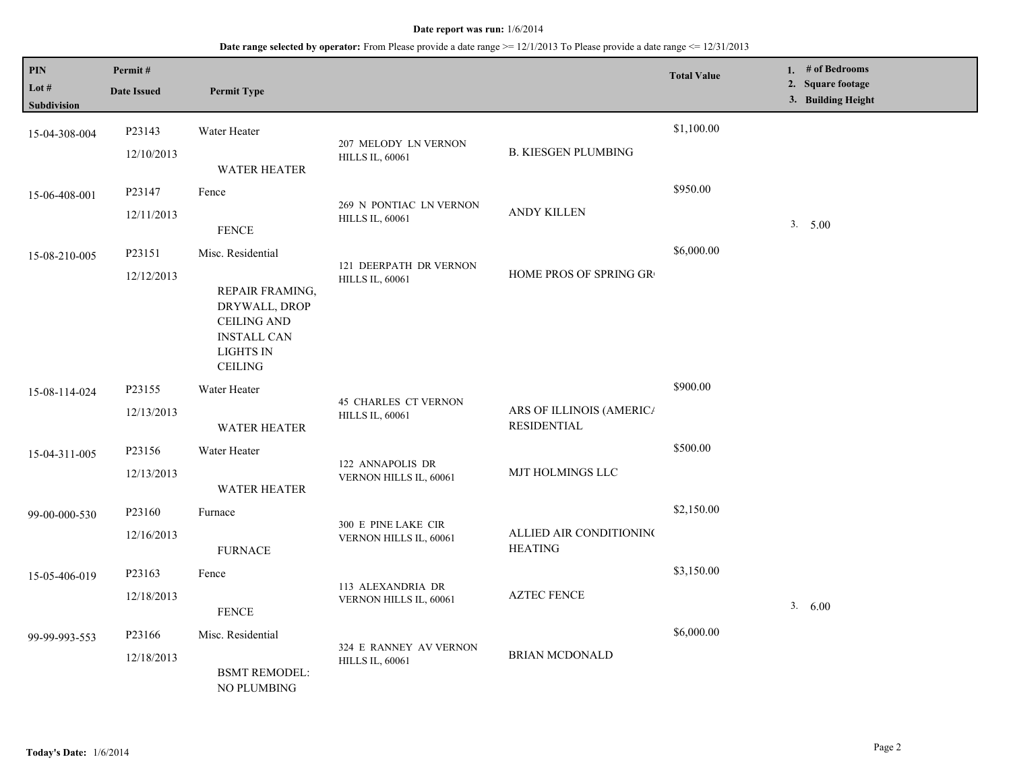#### **Date report was run:** 1/6/2014

## **Date range selected by operator:** From Please provide a date range  $\ge$  = 12/1/2013 To Please provide a date range <= 12/31/2013

| $\mathbf{PIN}$<br>Lot #<br>Subdivision | Permit#<br><b>Date Issued</b> | <b>Permit Type</b>                                                                                                                      |                                                       |                                                | <b>Total Value</b> | 1. # of Bedrooms<br>2. Square footage<br>3. Building Height |
|----------------------------------------|-------------------------------|-----------------------------------------------------------------------------------------------------------------------------------------|-------------------------------------------------------|------------------------------------------------|--------------------|-------------------------------------------------------------|
| 15-04-308-004                          | P23143<br>12/10/2013          | Water Heater<br><b>WATER HEATER</b>                                                                                                     | 207 MELODY LN VERNON<br><b>HILLS IL, 60061</b>        | <b>B. KIESGEN PLUMBING</b>                     | \$1,100.00         |                                                             |
| 15-06-408-001                          | P23147<br>12/11/2013          | Fence<br><b>FENCE</b>                                                                                                                   | 269 N PONTIAC LN VERNON<br><b>HILLS IL, 60061</b>     | <b>ANDY KILLEN</b>                             | \$950.00           | 3. 5.00                                                     |
| 15-08-210-005                          | P23151<br>12/12/2013          | Misc. Residential<br>REPAIR FRAMING,<br>DRYWALL, DROP<br><b>CEILING AND</b><br><b>INSTALL CAN</b><br><b>LIGHTS IN</b><br><b>CEILING</b> | 121 DEERPATH DR VERNON<br><b>HILLS IL, 60061</b>      | HOME PROS OF SPRING GR                         | \$6,000.00         |                                                             |
| 15-08-114-024                          | P23155<br>12/13/2013          | Water Heater<br><b>WATER HEATER</b>                                                                                                     | <b>45 CHARLES CT VERNON</b><br><b>HILLS IL, 60061</b> | ARS OF ILLINOIS (AMERICA<br><b>RESIDENTIAL</b> | \$900.00           |                                                             |
| 15-04-311-005                          | P23156<br>12/13/2013          | Water Heater<br><b>WATER HEATER</b>                                                                                                     | 122 ANNAPOLIS DR<br>VERNON HILLS IL, 60061            | MJT HOLMINGS LLC                               | \$500.00           |                                                             |
| 99-00-000-530                          | P23160<br>12/16/2013          | Furnace<br><b>FURNACE</b>                                                                                                               | 300 E PINE LAKE CIR<br>VERNON HILLS IL, 60061         | ALLIED AIR CONDITIONING<br><b>HEATING</b>      | \$2,150.00         |                                                             |
| 15-05-406-019                          | P23163<br>12/18/2013          | Fence<br><b>FENCE</b>                                                                                                                   | 113 ALEXANDRIA DR<br>VERNON HILLS IL, 60061           | <b>AZTEC FENCE</b>                             | \$3,150.00         | 3. 6.00                                                     |
| 99-99-993-553                          | P23166<br>12/18/2013          | Misc. Residential<br><b>BSMT REMODEL:</b><br><b>NO PLUMBING</b>                                                                         | 324 E RANNEY AV VERNON<br><b>HILLS IL, 60061</b>      | <b>BRIAN MCDONALD</b>                          | \$6,000.00         |                                                             |